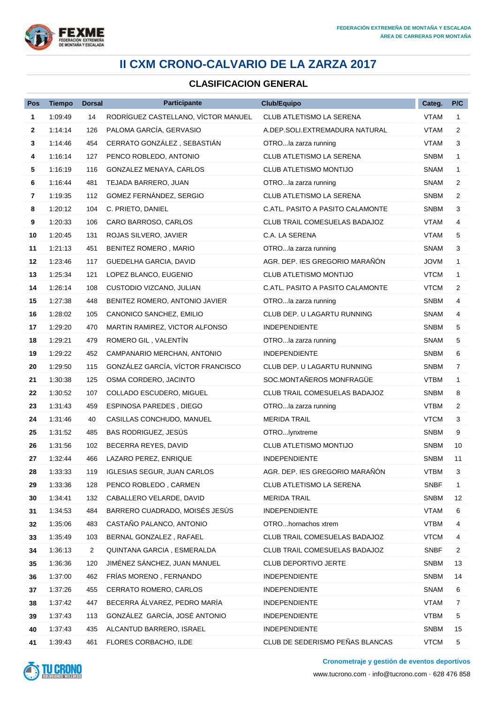

## **II CXM CRONO-CALVARIO DE LA ZARZA 2017**

## **CLASIFICACION GENERAL**

| Pos          | <b>Tiempo</b> | <b>Dorsal</b>  | <b>Participante</b>                 | <b>Club/Equipo</b>                   | Categ.      | P/C            |
|--------------|---------------|----------------|-------------------------------------|--------------------------------------|-------------|----------------|
| 1            | 1:09:49       | 14             | RODRÍGUEZ CASTELLANO, VÍCTOR MANUEL | CLUB ATLETISMO LA SERENA             | VTAM        | $\mathbf{1}$   |
| $\mathbf{2}$ | 1.14.14       | 126            | PALOMA GARCÍA, GERVASIO             | A.DEP.SOLI.EXTREMADURA NATURAL       | VTAM        | $\overline{2}$ |
| 3            | 1.14.46       | 454            | CERRATO GONZÁLEZ, SEBASTIÁN         | OTROla zarza running                 | VTAM        | 3              |
| 4            | 1:16:14       | 127            | PENCO ROBLEDO, ANTONIO              | CLUB ATLETISMO LA SERENA             | <b>SNBM</b> | $\mathbf 1$    |
| 5            | 1:16:19       | 116            | GONZALEZ MENAYA, CARLOS             | CLUB ATLETISMO MONTIJO               | SNAM        | $\mathbf{1}$   |
| 6            | 1:16:44       | 481            | TEJADA BARRERO, JUAN                | OTROla zarza running                 | SNAM        | 2              |
| 7            | 1:19:35       | 112            | GOMEZ FERNÁNDEZ, SERGIO             | CLUB ATLETISMO LA SERENA             | <b>SNBM</b> | $\overline{2}$ |
| 8            | 1:20:12       | 104            | C. PRIETO, DANIEL                   | C.ATL. PASITO A PASITO CALAMONTE     | <b>SNBM</b> | 3              |
| 9            | 1:20:33       | 106            | CARO BARROSO, CARLOS                | <b>CLUB TRAIL COMESUELAS BADAJOZ</b> | VTAM        | 4              |
| 10           | 1:20:45       | 131            | ROJAS SILVERO, JAVIER               | C.A. LA SERENA                       | <b>VTAM</b> | 5              |
| 11           | 1:21:13       | 451            | BENITEZ ROMERO, MARIO               | OTROla zarza running                 | SNAM        | 3              |
| 12           | 1:23:46       | 117            | GUEDELHA GARCIA, DAVID              | AGR. DEP. IES GREGORIO MARAÑÓN       | <b>JOVM</b> | $\mathbf{1}$   |
| 13           | 1.25.34       | 121            | LOPEZ BLANCO, EUGENIO               | CLUB ATLETISMO MONTIJO               | <b>VTCM</b> | $\mathbf 1$    |
| 14           | 1.26:14       | 108            | CUSTODIO VIZCANO, JULIAN            | C.ATL. PASITO A PASITO CALAMONTE     | <b>VTCM</b> | 2              |
| 15           | 1:27:38       | 448            | BENITEZ ROMERO, ANTONIO JAVIER      | OTROla zarza running                 | <b>SNBM</b> | 4              |
| 16           | 1:28:02       | 105            | CANONICO SANCHEZ, EMILIO            | CLUB DEP. U LAGARTU RUNNING          | <b>SNAM</b> | 4              |
| 17           | 1:29:20       | 470            | MARTIN RAMIREZ, VICTOR ALFONSO      | <b>INDEPENDIENTE</b>                 | <b>SNBM</b> | 5              |
| 18           | 1:29:21       | 479            | ROMERO GIL, VALENTIN                | OTROla zarza running                 | SNAM        | 5              |
| 19           | 1:29:22       | 452            | CAMPANARIO MERCHAN, ANTONIO         | <b>INDEPENDIENTE</b>                 | <b>SNBM</b> | 6              |
| 20           | 1:29:50       | 115            | GONZÁLEZ GARCÍA, VÍCTOR FRANCISCO   | CLUB DEP. U LAGARTU RUNNING          | <b>SNBM</b> | 7              |
| 21           | 1:30:38       | 125            | OSMA CORDERO, JACINTO               | SOC.MONTAÑEROS MONFRAGÜE             | VTBM        | $\mathbf{1}$   |
| 22           | 1:30:52       | 107            | COLLADO ESCUDERO, MIGUEL            | <b>CLUB TRAIL COMESUELAS BADAJOZ</b> | <b>SNBM</b> | 8              |
| 23           | 1:31:43       | 459            | ESPINOSA PAREDES, DIEGO             | OTROla zarza running                 | <b>VTBM</b> | 2              |
| 24           | 1:31:46       | 40             | CASILLAS CONCHUDO, MANUEL           | <b>MERIDA TRAIL</b>                  | <b>VTCM</b> | 3              |
| 25           | 1:31:52       | 485            | BAS RODRIGUEZ, JESÚS                | OTROIynxtreme                        | <b>SNBM</b> | 9              |
| 26           | 1:31:56       | 102            | BECERRA REYES, DAVID                | CLUB ATLETISMO MONTIJO               | <b>SNBM</b> | 10             |
| 27           | 1.32.44       | 466            | LAZARO PEREZ, ENRIQUE               | <b>INDEPENDIENTE</b>                 | SNBM        | 11             |
| 28           | 1:33:33       | 119            | IGLESIAS SEGUR, JUAN CARLOS         | AGR. DEP. IES GREGORIO MARAÑÓN       | <b>VTBM</b> | 3              |
| 29           | 1:33:36       | 128            | PENCO ROBLEDO, CARMEN               | CLUB ATLETISMO LA SERENA             | <b>SNBF</b> | $\mathbf{1}$   |
| 30           | 1:34:41       | 132            | CABALLERO VELARDE, DAVID            | MERIDA TRAIL                         | <b>SNBM</b> | 12             |
| 31           | 1:34:53       | 484            | BARRERO CUADRADO, MOISÉS JESÚS      | <b>INDEPENDIENTE</b>                 | <b>VTAM</b> | 6              |
| 32           | 1:35:06       | 483            | CASTAÑO PALANCO, ANTONIO            | OTROhornachos xtrem                  | <b>VTBM</b> | 4              |
| 33           | 1:35:49       | 103            | BERNAL GONZALEZ, RAFAEL             | CLUB TRAIL COMESUELAS BADAJOZ        | <b>VTCM</b> | 4              |
| 34           | 1:36:13       | $\overline{2}$ | QUINTANA GARCIA, ESMERALDA          | CLUB TRAIL COMESUELAS BADAJOZ        | <b>SNBF</b> | 2              |
| 35           | 1:36:36       | 120            | JIMÉNEZ SÁNCHEZ, JUAN MANUEL        | CLUB DEPORTIVO JERTE                 | <b>SNBM</b> | 13             |
| 36           | 1:37:00       | 462            | FRIAS MORENO, FERNANDO              | <b>INDEPENDIENTE</b>                 | <b>SNBM</b> | 14             |
| 37           | 1:37:26       | 455            | CERRATO ROMERO, CARLOS              | <b>INDEPENDIENTE</b>                 | SNAM        | 6              |
| 38           | 1:37:42       | 447            | BECERRA ALVAREZ, PEDRO MARÍA        | <b>INDEPENDIENTE</b>                 | <b>VTAM</b> | 7              |
| 39           | 1:37:43       | 113            | GONZÁLEZ GARCÍA, JOSÉ ANTONIO       | <b>INDEPENDIENTE</b>                 | <b>VTBM</b> | 5              |
| 40           | 1:37:43       | 435            | ALCANTUD BARRERO, ISRAEL            | <b>INDEPENDIENTE</b>                 | <b>SNBM</b> | 15             |
| 41           | 1:39:43       | 461            | FLORES CORBACHO, ILDE               | CLUB DE SEDERISMO PEÑAS BLANCAS      | <b>VTCM</b> | 5              |